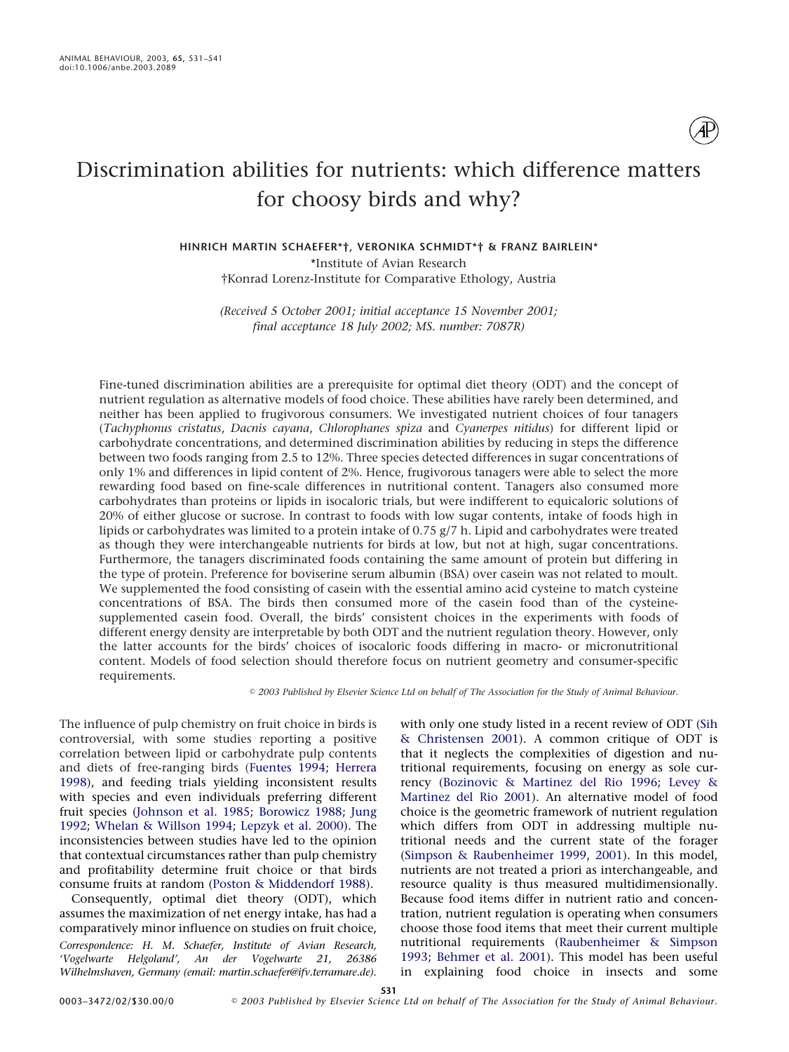# Discrimination abilities for nutrients: which difference matters for choosy birds and why?

**HINRICH MARTIN SCHAEFER\*†, VERONIKA SCHMIDT\*† & FRANZ BAIRLEIN\*** \*Institute of Avian Research

†Konrad Lorenz-Institute for Comparative Ethology, Austria

*(Received 5 October 2001; initial acceptance 15 November 2001; final acceptance 18 July 2002; MS. number: 7087R)*

Fine-tuned discrimination abilities are a prerequisite for optimal diet theory (ODT) and the concept of nutrient regulation as alternative models of food choice. These abilities have rarely been determined, and neither has been applied to frugivorous consumers. We investigated nutrient choices of four tanagers (*Tachyphonus cristatus*, *Dacnis cayana*, *Chlorophanes spiza* and *Cyanerpes nitidus*) for different lipid or carbohydrate concentrations, and determined discrimination abilities by reducing in steps the difference between two foods ranging from 2.5 to 12%. Three species detected differences in sugar concentrations of only 1% and differences in lipid content of 2%. Hence, frugivorous tanagers were able to select the more rewarding food based on fine-scale differences in nutritional content. Tanagers also consumed more carbohydrates than proteins or lipids in isocaloric trials, but were indifferent to equicaloric solutions of 20% of either glucose or sucrose. In contrast to foods with low sugar contents, intake of foods high in lipids or carbohydrates was limited to a protein intake of 0.75 g/7 h. Lipid and carbohydrates were treated as though they were interchangeable nutrients for birds at low, but not at high, sugar concentrations. Furthermore, the tanagers discriminated foods containing the same amount of protein but differing in the type of protein. Preference for boviserine serum albumin (BSA) over casein was not related to moult. We supplemented the food consisting of casein with the essential amino acid cysteine to match cysteine concentrations of BSA. The birds then consumed more of the casein food than of the cysteinesupplemented casein food. Overall, the birds' consistent choices in the experiments with foods of different energy density are interpretable by both ODT and the nutrient regulation theory. However, only the latter accounts for the birds' choices of isocaloric foods differing in macro- or micronutritional content. Models of food selection should therefore focus on nutrient geometry and consumer-specific requirements.

*2003 Published by Elsevier Science Ltd on behalf of The Association for the Study of Animal Behaviour.*

The influence of pulp chemistry on fruit choice in birds is controversial, with some studies reporting a positive correlation between lipid or carbohydrate pulp contents and diets of free-ranging birds [\(Fuentes 1994;](#page-9-0) [Herrera](#page-9-1) [1998\)](#page-9-1), and feeding trials yielding inconsistent results with species and even individuals preferring different fruit species [\(Johnson et al. 1985;](#page-9-2) [Borowicz 1988;](#page-9-3) [Jung](#page-9-4) [1992;](#page-9-4) [Whelan & Willson 1994;](#page-10-0) [Lepzyk et al. 2000\)](#page-9-5). The inconsistencies between studies have led to the opinion that contextual circumstances rather than pulp chemistry and profitability determine fruit choice or that birds consume fruits at random [\(Poston & Middendorf 1988\)](#page-10-1).

Consequently, optimal diet theory (ODT), which assumes the maximization of net energy intake, has had a comparatively minor influence on studies on fruit choice,

*Correspondence: H. M. Schaefer, Institute of Avian Research, 'Vogelwarte Helgoland', An der Vogelwarte 21, 26386 Wilhelmshaven, Germany (email: martin.schaefer@ifv.terramare.de).*

with only one study listed in a recent review of ODT [\(Sih](#page-10-2) [& Christensen 2001\)](#page-10-2). A common critique of ODT is that it neglects the complexities of digestion and nutritional requirements, focusing on energy as sole currency [\(Bozinovic & Martinez del Rio 1996;](#page-9-6) [Levey &](#page-9-7) [Martinez del Rio 2001\)](#page-9-7). An alternative model of food choice is the geometric framework of nutrient regulation which differs from ODT in addressing multiple nutritional needs and the current state of the forager [\(Simpson & Raubenheimer 1999,](#page-10-3) [2001\)](#page-10-4). In this model, nutrients are not treated a priori as interchangeable, and resource quality is thus measured multidimensionally. Because food items differ in nutrient ratio and concentration, nutrient regulation is operating when consumers choose those food items that meet their current multiple nutritional requirements [\(Raubenheimer & Simpson](#page-10-5) [1993;](#page-10-5) [Behmer et al. 2001\)](#page-9-8). This model has been useful in explaining food choice in insects and some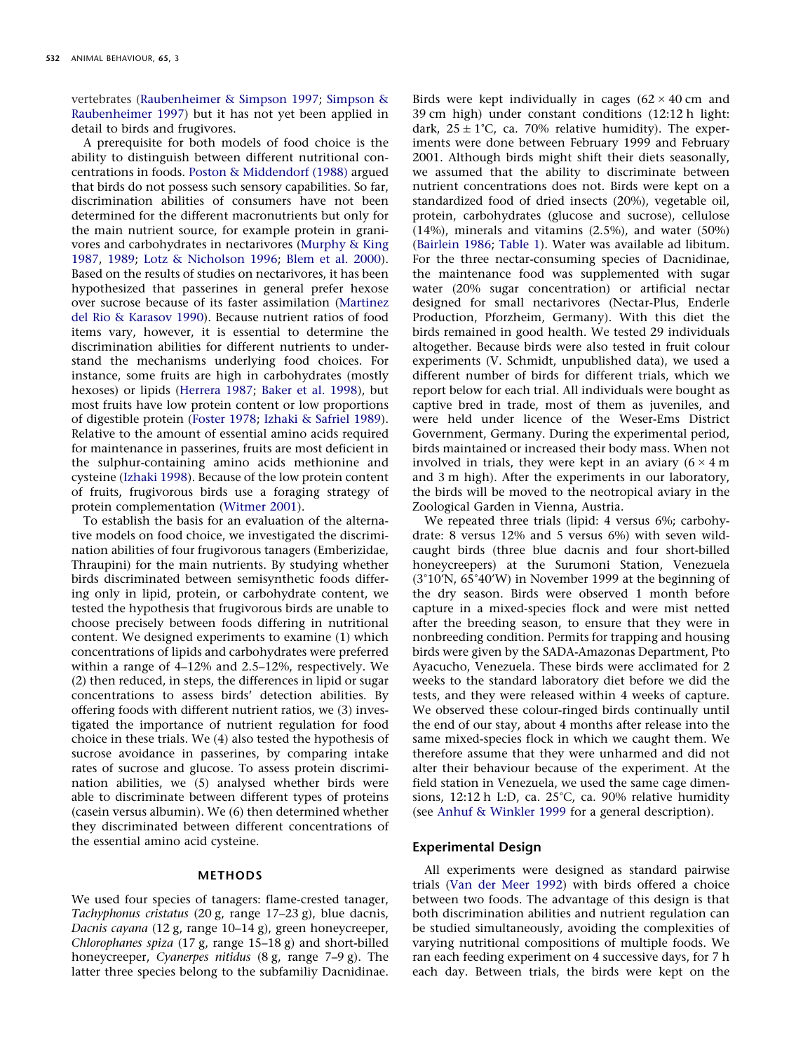vertebrates [\(Raubenheimer & Simpson 1997;](#page-10-6) [Simpson &](#page-10-7) [Raubenheimer 1997\)](#page-10-7) but it has not yet been applied in detail to birds and frugivores.

A prerequisite for both models of food choice is the ability to distinguish between different nutritional concentrations in foods. [Poston & Middendorf \(1988\)](#page-10-1) argued that birds do not possess such sensory capabilities. So far, discrimination abilities of consumers have not been determined for the different macronutrients but only for the main nutrient source, for example protein in granivores and carbohydrates in nectarivores [\(Murphy & King](#page-10-8) [1987,](#page-10-8) [1989;](#page-10-9) [Lotz & Nicholson 1996;](#page-9-9) [Blem et al. 2000\)](#page-9-10). Based on the results of studies on nectarivores, it has been hypothesized that passerines in general prefer hexose over sucrose because of its faster assimilation [\(Martinez](#page-9-11) [del Rio & Karasov 1990\)](#page-9-11). Because nutrient ratios of food items vary, however, it is essential to determine the discrimination abilities for different nutrients to understand the mechanisms underlying food choices. For instance, some fruits are high in carbohydrates (mostly hexoses) or lipids [\(Herrera 1987;](#page-9-12) [Baker et al. 1998\)](#page-9-13), but most fruits have low protein content or low proportions of digestible protein [\(Foster 1978;](#page-9-14) [Izhaki & Safriel 1989\)](#page-9-15). Relative to the amount of essential amino acids required for maintenance in passerines, fruits are most deficient in the sulphur-containing amino acids methionine and cysteine [\(Izhaki 1998\)](#page-9-16). Because of the low protein content of fruits, frugivorous birds use a foraging strategy of protein complementation [\(Witmer 2001\)](#page-10-10).

To establish the basis for an evaluation of the alternative models on food choice, we investigated the discrimination abilities of four frugivorous tanagers (Emberizidae, Thraupini) for the main nutrients. By studying whether birds discriminated between semisynthetic foods differing only in lipid, protein, or carbohydrate content, we tested the hypothesis that frugivorous birds are unable to choose precisely between foods differing in nutritional content. We designed experiments to examine (1) which concentrations of lipids and carbohydrates were preferred within a range of 4–12% and 2.5–12%, respectively. We (2) then reduced, in steps, the differences in lipid or sugar concentrations to assess birds' detection abilities. By offering foods with different nutrient ratios, we (3) investigated the importance of nutrient regulation for food choice in these trials. We (4) also tested the hypothesis of sucrose avoidance in passerines, by comparing intake rates of sucrose and glucose. To assess protein discrimination abilities, we (5) analysed whether birds were able to discriminate between different types of proteins (casein versus albumin). We (6) then determined whether they discriminated between different concentrations of the essential amino acid cysteine.

#### **METHODS**

We used four species of tanagers: flame-crested tanager, *Tachyphonus cristatus* (20 g, range 17–23 g), blue dacnis, *Dacnis cayana* (12 g, range 10–14 g), green honeycreeper, *Chlorophanes spiza* (17 g, range 15–18 g) and short-billed honeycreeper, *Cyanerpes nitidus* (8 g, range 7–9 g). The latter three species belong to the subfamiliy Dacnidinae. Birds were kept individually in cages  $(62 \times 40 \text{ cm}$  and 39 cm high) under constant conditions (12:12 h light: dark, 25  $\pm$  1°C, ca. 70% relative humidity). The experiments were done between February 1999 and February 2001. Although birds might shift their diets seasonally, we assumed that the ability to discriminate between nutrient concentrations does not. Birds were kept on a standardized food of dried insects (20%), vegetable oil, protein, carbohydrates (glucose and sucrose), cellulose (14%), minerals and vitamins (2.5%), and water (50%) [\(Bairlein 1986;](#page-9-17) [Table 1\)](#page-2-0). Water was available ad libitum. For the three nectar-consuming species of Dacnidinae, the maintenance food was supplemented with sugar water (20% sugar concentration) or artificial nectar designed for small nectarivores (Nectar-Plus, Enderle Production, Pforzheim, Germany). With this diet the birds remained in good health. We tested 29 individuals altogether. Because birds were also tested in fruit colour experiments (V. Schmidt, unpublished data), we used a different number of birds for different trials, which we report below for each trial. All individuals were bought as captive bred in trade, most of them as juveniles, and were held under licence of the Weser-Ems District Government, Germany. During the experimental period, birds maintained or increased their body mass. When not involved in trials, they were kept in an aviary  $(6 \times 4 \text{ m})$ and 3 m high). After the experiments in our laboratory, the birds will be moved to the neotropical aviary in the Zoological Garden in Vienna, Austria.

We repeated three trials (lipid: 4 versus 6%; carbohydrate: 8 versus 12% and 5 versus 6%) with seven wildcaught birds (three blue dacnis and four short-billed honeycreepers) at the Surumoni Station, Venezuela  $(3°10'N, 65°40'W)$  in November 1999 at the beginning of the dry season. Birds were observed 1 month before capture in a mixed-species flock and were mist netted after the breeding season, to ensure that they were in nonbreeding condition. Permits for trapping and housing birds were given by the SADA-Amazonas Department, Pto Ayacucho, Venezuela. These birds were acclimated for 2 weeks to the standard laboratory diet before we did the tests, and they were released within 4 weeks of capture. We observed these colour-ringed birds continually until the end of our stay, about 4 months after release into the same mixed-species flock in which we caught them. We therefore assume that they were unharmed and did not alter their behaviour because of the experiment. At the field station in Venezuela, we used the same cage dimensions,  $12:12$  h L:D, ca.  $25^{\circ}$ C, ca.  $90\%$  relative humidity (see [Anhuf & Winkler 1999](#page-9-18) for a general description).

#### **Experimental Design**

All experiments were designed as standard pairwise trials [\(Van der Meer 1992\)](#page-10-11) with birds offered a choice between two foods. The advantage of this design is that both discrimination abilities and nutrient regulation can be studied simultaneously, avoiding the complexities of varying nutritional compositions of multiple foods. We ran each feeding experiment on 4 successive days, for 7 h each day. Between trials, the birds were kept on the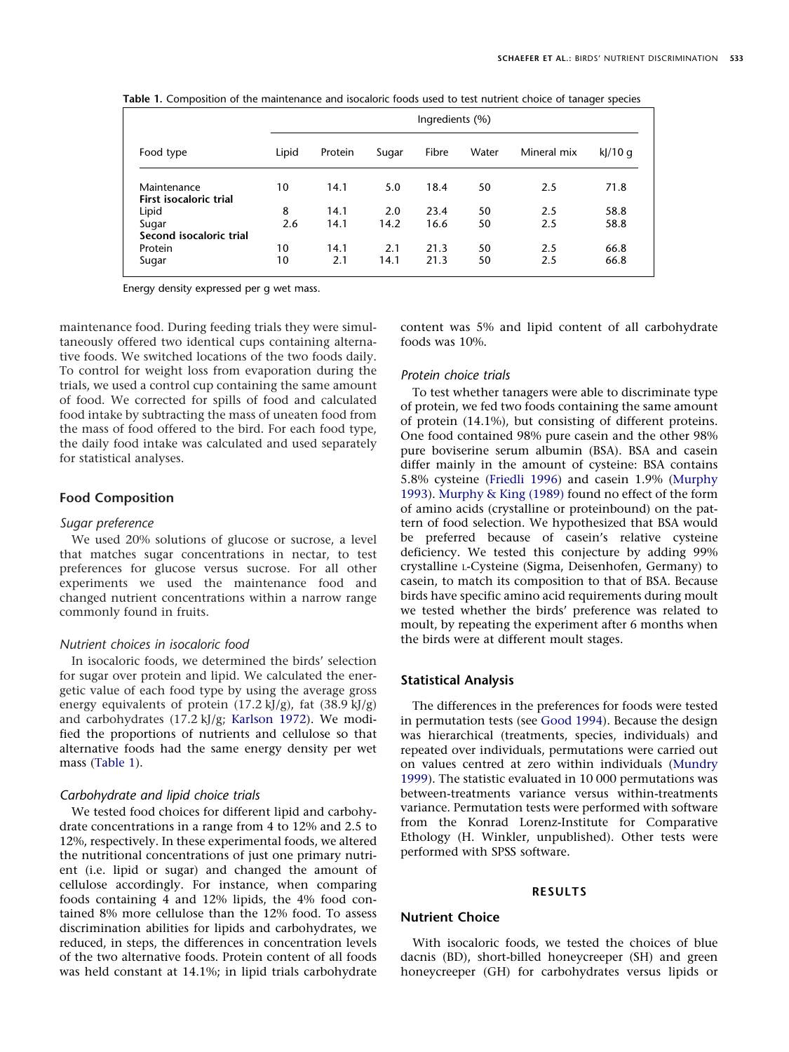|                         | Ingredients (%) |         |       |       |       |             |         |
|-------------------------|-----------------|---------|-------|-------|-------|-------------|---------|
| Food type               | Lipid           | Protein | Sugar | Fibre | Water | Mineral mix | kJ/10 g |
| Maintenance             | 10              | 14.1    | 5.0   | 18.4  | 50    | 2.5         | 71.8    |
| First isocaloric trial  |                 |         |       |       |       |             |         |
| Lipid                   | 8               | 14.1    | 2.0   | 23.4  | 50    | 2.5         | 58.8    |
| Sugar                   | 2.6             | 14.1    | 14.2  | 16.6  | 50    | 2.5         | 58.8    |
| Second isocaloric trial |                 |         |       |       |       |             |         |
| Protein                 | 10              | 14.1    | 2.1   | 21.3  | 50    | 2.5         | 66.8    |
| Sugar                   | 10              | 2.1     | 14.1  | 21.3  | 50    | 2.5         | 66.8    |

<span id="page-2-0"></span>**Table 1.** Composition of the maintenance and isocaloric foods used to test nutrient choice of tanager species

Energy density expressed per g wet mass.

maintenance food. During feeding trials they were simultaneously offered two identical cups containing alternative foods. We switched locations of the two foods daily. To control for weight loss from evaporation during the trials, we used a control cup containing the same amount of food. We corrected for spills of food and calculated food intake by subtracting the mass of uneaten food from the mass of food offered to the bird. For each food type, the daily food intake was calculated and used separately for statistical analyses.

# **Food Composition**

## *Sugar preference*

We used 20% solutions of glucose or sucrose, a level that matches sugar concentrations in nectar, to test preferences for glucose versus sucrose. For all other experiments we used the maintenance food and changed nutrient concentrations within a narrow range commonly found in fruits.

# *Nutrient choices in isocaloric food*

In isocaloric foods, we determined the birds' selection for sugar over protein and lipid. We calculated the energetic value of each food type by using the average gross energy equivalents of protein  $(17.2 \text{ kJ/g})$ , fat  $(38.9 \text{ kJ/g})$ and carbohydrates (17.2 kJ/g; [Karlson 1972\)](#page-9-19). We modified the proportions of nutrients and cellulose so that alternative foods had the same energy density per wet mass [\(Table 1\)](#page-2-0).

#### *Carbohydrate and lipid choice trials*

We tested food choices for different lipid and carbohydrate concentrations in a range from 4 to 12% and 2.5 to 12%, respectively. In these experimental foods, we altered the nutritional concentrations of just one primary nutrient (i.e. lipid or sugar) and changed the amount of cellulose accordingly. For instance, when comparing foods containing 4 and 12% lipids, the 4% food contained 8% more cellulose than the 12% food. To assess discrimination abilities for lipids and carbohydrates, we reduced, in steps, the differences in concentration levels of the two alternative foods. Protein content of all foods was held constant at 14.1%; in lipid trials carbohydrate

content was 5% and lipid content of all carbohydrate foods was 10%.

## *Protein choice trials*

To test whether tanagers were able to discriminate type of protein, we fed two foods containing the same amount of protein (14.1%), but consisting of different proteins. One food contained 98% pure casein and the other 98% pure boviserine serum albumin (BSA). BSA and casein differ mainly in the amount of cysteine: BSA contains 5.8% cysteine [\(Friedli 1996\)](#page-9-20) and casein 1.9% [\(Murphy](#page-9-21) [1993\)](#page-9-21). [Murphy & King \(1989\)](#page-10-9) found no effect of the form of amino acids (crystalline or proteinbound) on the pattern of food selection. We hypothesized that BSA would be preferred because of casein's relative cysteine deficiency. We tested this conjecture by adding 99% crystalline L-Cysteine (Sigma, Deisenhofen, Germany) to casein, to match its composition to that of BSA. Because birds have specific amino acid requirements during moult we tested whether the birds' preference was related to moult, by repeating the experiment after 6 months when the birds were at different moult stages.

# **Statistical Analysis**

The differences in the preferences for foods were tested in permutation tests (see [Good 1994\)](#page-9-22). Because the design was hierarchical (treatments, species, individuals) and repeated over individuals, permutations were carried out on values centred at zero within individuals [\(Mundry](#page-9-23) [1999\)](#page-9-23). The statistic evaluated in 10 000 permutations was between-treatments variance versus within-treatments variance. Permutation tests were performed with software from the Konrad Lorenz-Institute for Comparative Ethology (H. Winkler, unpublished). Other tests were performed with SPSS software.

### **RESULTS**

# **Nutrient Choice**

With isocaloric foods, we tested the choices of blue dacnis (BD), short-billed honeycreeper (SH) and green honeycreeper (GH) for carbohydrates versus lipids or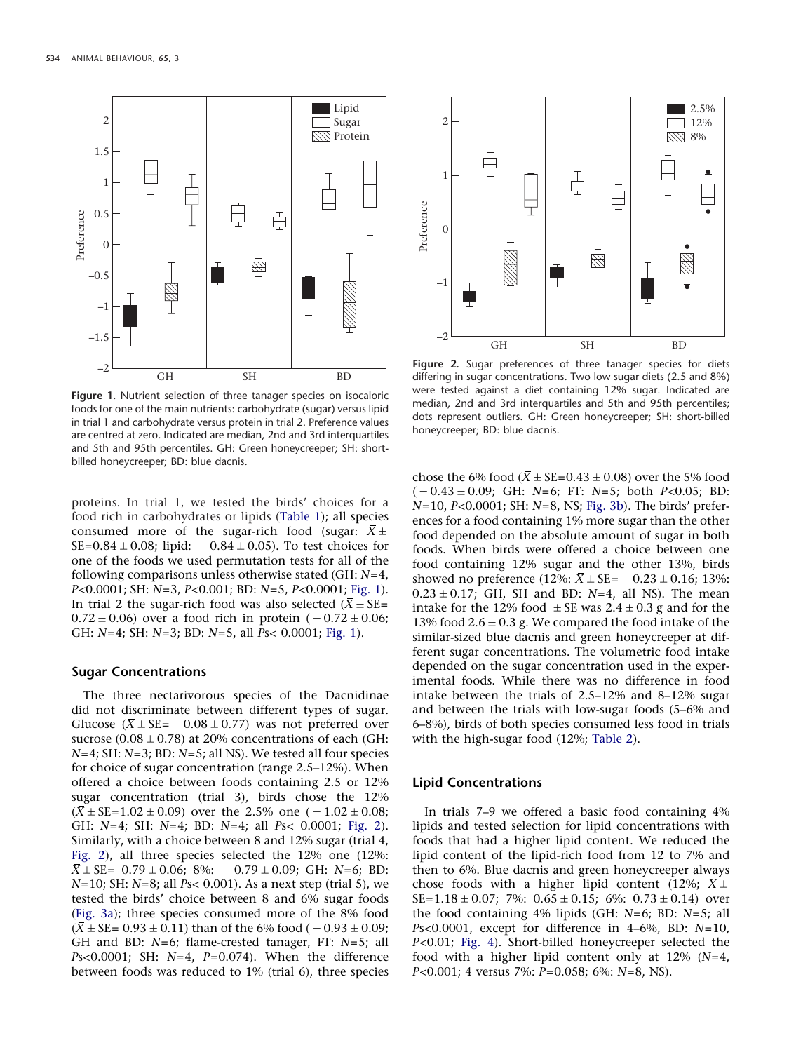<span id="page-3-0"></span>

**Figure 1.** Nutrient selection of three tanager species on isocaloric foods for one of the main nutrients: carbohydrate (sugar) versus lipid in trial 1 and carbohydrate versus protein in trial 2. Preference values are centred at zero. Indicated are median, 2nd and 3rd interquartiles and 5th and 95th percentiles. GH: Green honeycreeper; SH: shortbilled honeycreeper; BD: blue dacnis.

proteins. In trial 1, we tested the birds' choices for a food rich in carbohydrates or lipids [\(Table 1\)](#page-2-0); all species consumed more of the sugar-rich food (sugar:  $X \pm$  $SE = 0.84 \pm 0.08$ ; lipid:  $-0.84 \pm 0.05$ ). To test choices for one of the foods we used permutation tests for all of the following comparisons unless otherwise stated (GH: *N*=4, *P<*0.0001; SH: *N*=3, *P<*0.001; BD: *N*=5, *P<*0.0001; [Fig. 1\)](#page-3-0). In trial 2 the sugar-rich food was also selected  $(X \pm SE =$  $0.72 \pm 0.06$ ) over a food rich in protein  $(-0.72 \pm 0.06;$ GH: *N*=4; SH: *N*=3; BD: *N*=5, all *P*s< 0.0001; [Fig. 1\)](#page-3-0).

## **Sugar Concentrations**

The three nectarivorous species of the Dacnidinae did not discriminate between different types of sugar. Glucose ( $X \pm SE = -0.08 \pm 0.77$ ) was not preferred over sucrose  $(0.08 \pm 0.78)$  at 20% concentrations of each (GH: *N*=4; SH: *N*=3; BD: *N*=5; all NS). We tested all four species for choice of sugar concentration (range 2.5–12%). When offered a choice between foods containing 2.5 or 12% sugar concentration (trial 3), birds chose the 12%  $(X \pm SE = 1.02 \pm 0.09)$  over the 2.5% one  $(-1.02 \pm 0.08;$ GH: *N*=4; SH: *N*=4; BD: *N*=4; all *P*s< 0.0001; [Fig. 2\)](#page-3-1). Similarly, with a choice between 8 and 12% sugar (trial 4, [Fig. 2\)](#page-3-1), all three species selected the 12% one (12%:  $X \pm SE = 0.79 \pm 0.06$ ; 8%:  $-0.79 \pm 0.09$ ; GH: *N*=6; BD: *N*=10; SH: *N*=8; all *P*s< 0.001). As a next step (trial 5), we tested the birds' choice between 8 and 6% sugar foods [\(Fig. 3a\)](#page-4-0); three species consumed more of the 8% food  $(X \pm SE = 0.93 \pm 0.11)$  than of the 6% food ( $-0.93 \pm 0.09$ ; GH and BD: *N*=6; flame-crested tanager, FT: *N*=5; all *P*s<0.0001; SH: *N*=4, *P*=0.074). When the difference between foods was reduced to 1% (trial 6), three species

<span id="page-3-1"></span>

**Figure 2.** Sugar preferences of three tanager species for diets differing in sugar concentrations. Two low sugar diets (2.5 and 8%) were tested against a diet containing 12% sugar. Indicated are median, 2nd and 3rd interquartiles and 5th and 95th percentiles; dots represent outliers. GH: Green honeycreeper; SH: short-billed honeycreeper; BD: blue dacnis.

chose the 6% food  $(X \pm SE = 0.43 \pm 0.08)$  over the 5% food (0.43-0.09; GH: *N*=6; FT: *N*=5; both *P<*0.05; BD: *N*=10, *P<*0.0001; SH: *N*=8, NS; [Fig. 3b\)](#page-4-0). The birds' preferences for a food containing 1% more sugar than the other food depended on the absolute amount of sugar in both foods. When birds were offered a choice between one food containing 12% sugar and the other 13%, birds showed no preference  $(12\% : X \pm SE = -0.23 \pm 0.16; 13\%$ : 0.23-0.17; GH, SH and BD: *N*=4, all NS). The mean intake for the 12% food  $\pm$  SE was 2.4  $\pm$  0.3 g and for the 13% food 2.6  $\pm$  0.3 g. We compared the food intake of the similar-sized blue dacnis and green honeycreeper at different sugar concentrations. The volumetric food intake depended on the sugar concentration used in the experimental foods. While there was no difference in food intake between the trials of 2.5–12% and 8–12% sugar and between the trials with low-sugar foods (5–6% and 6–8%), birds of both species consumed less food in trials with the high-sugar food (12%; [Table 2\)](#page-5-0).

# **Lipid Concentrations**

In trials 7–9 we offered a basic food containing 4% lipids and tested selection for lipid concentrations with foods that had a higher lipid content. We reduced the lipid content of the lipid-rich food from 12 to 7% and then to 6%. Blue dacnis and green honeycreeper always chose foods with a higher lipid content (12%;  $X \pm$  $SE = 1.18 \pm 0.07$ ; 7%:  $0.65 \pm 0.15$ ; 6%:  $0.73 \pm 0.14$ ) over the food containing 4% lipids (GH: *N*=6; BD: *N*=5; all *P*s<0.0001, except for difference in 4–6%, BD: *N*=10, *P<*0.01; [Fig. 4\)](#page-5-1). Short-billed honeycreeper selected the food with a higher lipid content only at 12% (*N*=4, *P<*0.001; 4 versus 7%: *P*=0.058; 6%: *N*=8, NS).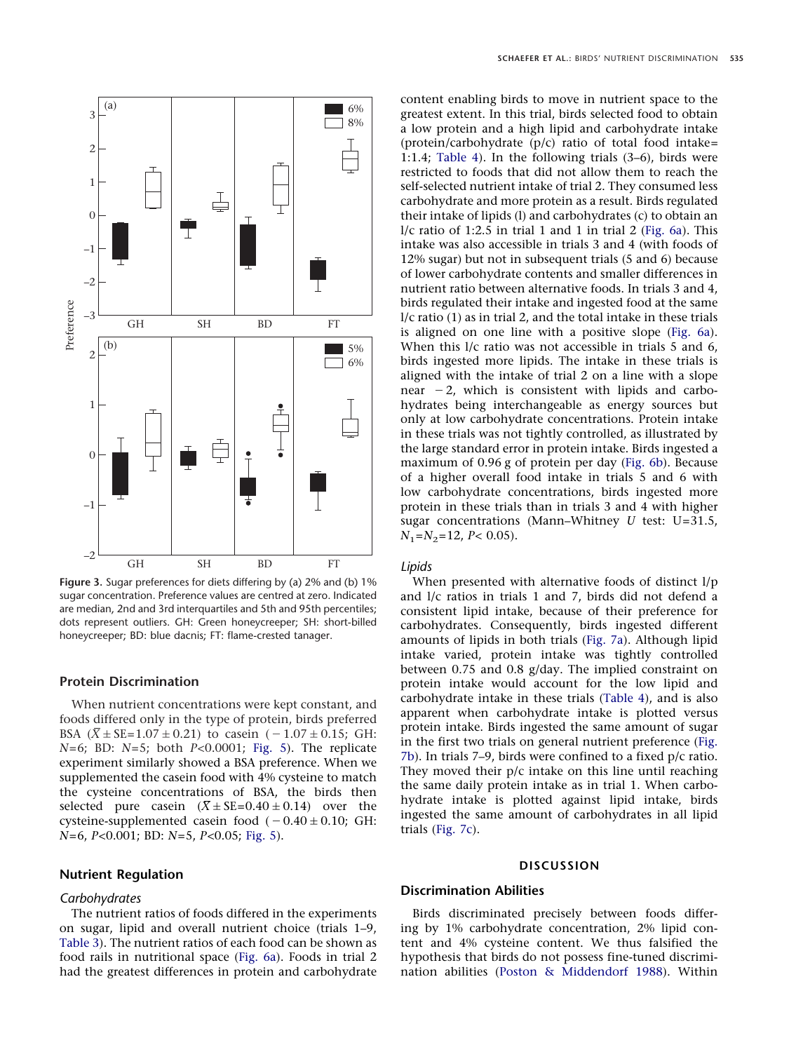<span id="page-4-0"></span>

**Figure 3.** Sugar preferences for diets differing by (a) 2% and (b) 1% sugar concentration. Preference values are centred at zero. Indicated are median, 2nd and 3rd interquartiles and 5th and 95th percentiles; dots represent outliers. GH: Green honeycreeper; SH: short-billed honeycreeper; BD: blue dacnis; FT: flame-crested tanager.

# **Protein Discrimination**

When nutrient concentrations were kept constant, and foods differed only in the type of protein, birds preferred BSA  $(X \pm SE = 1.07 \pm 0.21)$  to casein  $(-1.07 \pm 0.15;$  GH: *N*=6; BD: *N*=5; both *P<*0.0001; [Fig. 5\)](#page-5-2). The replicate experiment similarly showed a BSA preference. When we supplemented the casein food with 4% cysteine to match the cysteine concentrations of BSA, the birds then selected pure casein  $(X \pm SE = 0.40 \pm 0.14)$  over the cysteine-supplemented casein food  $(-0.40\pm0.10;$  GH: *N*=6, *P<*0.001; BD: *N*=5, *P<*0.05; [Fig. 5\)](#page-5-2).

## **Nutrient Regulation**

#### *Carbohydrates*

The nutrient ratios of foods differed in the experiments on sugar, lipid and overall nutrient choice (trials 1–9, [Table 3\)](#page-6-0). The nutrient ratios of each food can be shown as food rails in nutritional space [\(Fig. 6a\)](#page-6-1). Foods in trial 2 had the greatest differences in protein and carbohydrate content enabling birds to move in nutrient space to the greatest extent. In this trial, birds selected food to obtain a low protein and a high lipid and carbohydrate intake (protein/carbohydrate  $(p/c)$  ratio of total food intake= 1:1.4; [Table 4\)](#page-6-2). In the following trials (3–6), birds were restricted to foods that did not allow them to reach the self-selected nutrient intake of trial 2. They consumed less carbohydrate and more protein as a result. Birds regulated their intake of lipids (l) and carbohydrates (c) to obtain an  $1/c$  ratio of 1:2.5 in trial 1 and 1 in trial 2 [\(Fig. 6a\)](#page-6-1). This intake was also accessible in trials 3 and 4 (with foods of 12% sugar) but not in subsequent trials (5 and 6) because of lower carbohydrate contents and smaller differences in nutrient ratio between alternative foods. In trials 3 and 4, birds regulated their intake and ingested food at the same l/c ratio (1) as in trial 2, and the total intake in these trials is aligned on one line with a positive slope [\(Fig. 6a\)](#page-6-1). When this  $1/c$  ratio was not accessible in trials 5 and 6, birds ingested more lipids. The intake in these trials is aligned with the intake of trial 2 on a line with a slope near  $-2$ , which is consistent with lipids and carbohydrates being interchangeable as energy sources but only at low carbohydrate concentrations. Protein intake in these trials was not tightly controlled, as illustrated by the large standard error in protein intake. Birds ingested a maximum of 0.96 g of protein per day [\(Fig. 6b\)](#page-6-1). Because of a higher overall food intake in trials 5 and 6 with low carbohydrate concentrations, birds ingested more protein in these trials than in trials 3 and 4 with higher sugar concentrations (Mann–Whitney *U* test: U=31.5,  $N_1 = N_2 = 12$ , *P*< 0.05).

#### *Lipids*

When presented with alternative foods of distinct l/p and l/c ratios in trials 1 and 7, birds did not defend a consistent lipid intake, because of their preference for carbohydrates. Consequently, birds ingested different amounts of lipids in both trials [\(Fig. 7a\)](#page-7-0). Although lipid intake varied, protein intake was tightly controlled between 0.75 and 0.8 g/day. The implied constraint on protein intake would account for the low lipid and carbohydrate intake in these trials [\(Table 4\)](#page-6-2), and is also apparent when carbohydrate intake is plotted versus protein intake. Birds ingested the same amount of sugar in the first two trials on general nutrient preference [\(Fig.](#page-7-0) [7b\)](#page-7-0). In trials 7–9, birds were confined to a fixed p/c ratio. They moved their p/c intake on this line until reaching the same daily protein intake as in trial 1. When carbohydrate intake is plotted against lipid intake, birds ingested the same amount of carbohydrates in all lipid trials [\(Fig. 7c\)](#page-7-0).

## **DISCUSSION**

# **Discrimination Abilities**

Birds discriminated precisely between foods differing by 1% carbohydrate concentration, 2% lipid content and 4% cysteine content. We thus falsified the hypothesis that birds do not possess fine-tuned discrimination abilities [\(Poston & Middendorf 1988\)](#page-10-1). Within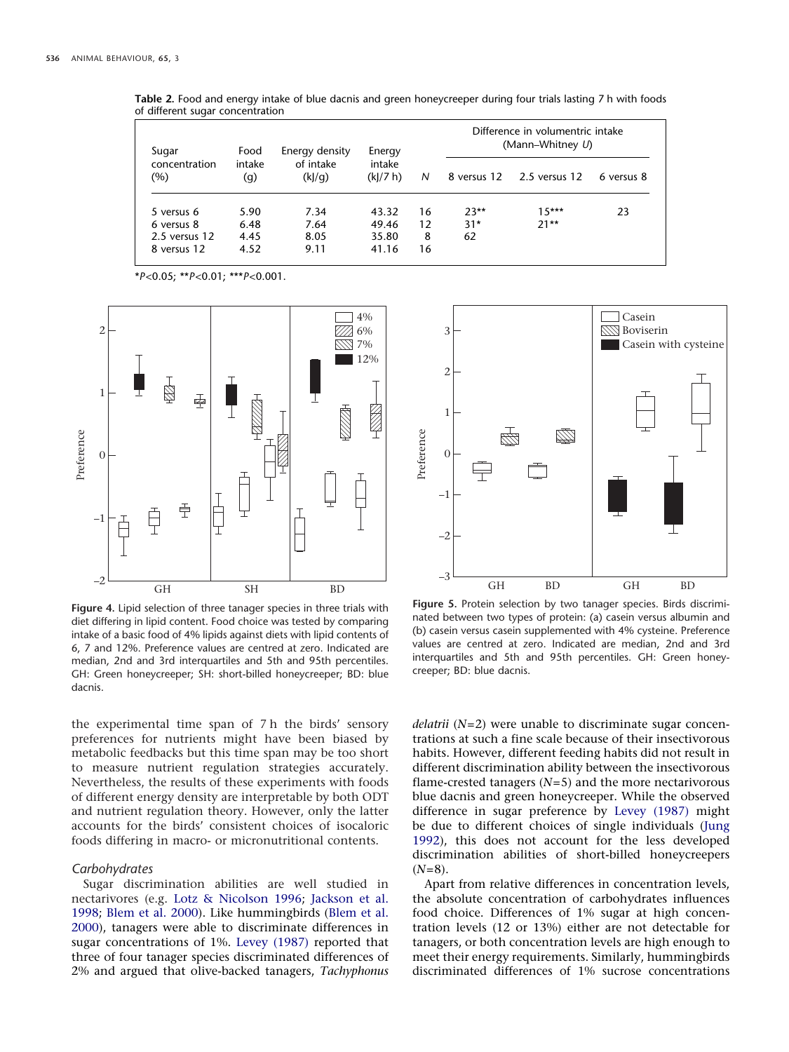| Sugar                | Food          | Energy density     | Energy            |    | Difference in volumentric intake<br>(Mann-Whitney U) |                           |            |  |
|----------------------|---------------|--------------------|-------------------|----|------------------------------------------------------|---------------------------|------------|--|
| concentration<br>(%) | intake<br>(g) | of intake<br>(k]/q | intake<br>(k)/7 h | N  |                                                      | 8 versus 12 2.5 versus 12 | 6 versus 8 |  |
| 5 versus 6           | 5.90          | 7.34               | 43.32             | 16 | $23**$                                               | $15***$                   | 23         |  |
| 6 versus 8           | 6.48          | 7.64               | 49.46             | 12 | $31*$                                                | $21**$                    |            |  |
| $2.5$ versus $12$    | 4.45          | 8.05               | 35.80             | 8  | 62                                                   |                           |            |  |
| 8 versus 12          | 4.52          | 9.11               | 41.16             | 16 |                                                      |                           |            |  |

<span id="page-5-0"></span>**Table 2.** Food and energy intake of blue dacnis and green honeycreeper during four trials lasting 7 h with foods of different sugar concentration

\**P<*0.05; \*\**P<*0.01; \*\*\**P<*0.001.

<span id="page-5-1"></span>

**Figure 4.** Lipid selection of three tanager species in three trials with diet differing in lipid content. Food choice was tested by comparing intake of a basic food of 4% lipids against diets with lipid contents of 6, 7 and 12%. Preference values are centred at zero. Indicated are median, 2nd and 3rd interquartiles and 5th and 95th percentiles. GH: Green honeycreeper; SH: short-billed honeycreeper; BD: blue dacnis.

the experimental time span of 7 h the birds' sensory preferences for nutrients might have been biased by metabolic feedbacks but this time span may be too short to measure nutrient regulation strategies accurately. Nevertheless, the results of these experiments with foods of different energy density are interpretable by both ODT and nutrient regulation theory. However, only the latter accounts for the birds' consistent choices of isocaloric foods differing in macro- or micronutritional contents.

#### *Carbohydrates*

Sugar discrimination abilities are well studied in nectarivores (e.g. [Lotz & Nicolson 1996;](#page-9-9) [Jackson et al.](#page-9-24) [1998;](#page-9-24) [Blem et al. 2000\)](#page-9-10). Like hummingbirds [\(Blem et al.](#page-9-10) [2000\)](#page-9-10), tanagers were able to discriminate differences in sugar concentrations of 1%. [Levey \(1987\)](#page-9-25) reported that three of four tanager species discriminated differences of 2% and argued that olive-backed tanagers, *Tachyphonus*

<span id="page-5-2"></span>

**Figure 5.** Protein selection by two tanager species. Birds discriminated between two types of protein: (a) casein versus albumin and (b) casein versus casein supplemented with 4% cysteine. Preference values are centred at zero. Indicated are median, 2nd and 3rd interquartiles and 5th and 95th percentiles. GH: Green honeycreeper; BD: blue dacnis.

*delatrii* (*N*=2) were unable to discriminate sugar concentrations at such a fine scale because of their insectivorous habits. However, different feeding habits did not result in different discrimination ability between the insectivorous flame-crested tanagers (*N*=5) and the more nectarivorous blue dacnis and green honeycreeper. While the observed difference in sugar preference by [Levey \(1987\)](#page-9-25) might be due to different choices of single individuals [\(Jung](#page-9-4) [1992\)](#page-9-4), this does not account for the less developed discrimination abilities of short-billed honeycreepers  $(N=8)$ .

Apart from relative differences in concentration levels, the absolute concentration of carbohydrates influences food choice. Differences of 1% sugar at high concentration levels (12 or 13%) either are not detectable for tanagers, or both concentration levels are high enough to meet their energy requirements. Similarly, hummingbirds discriminated differences of 1% sucrose concentrations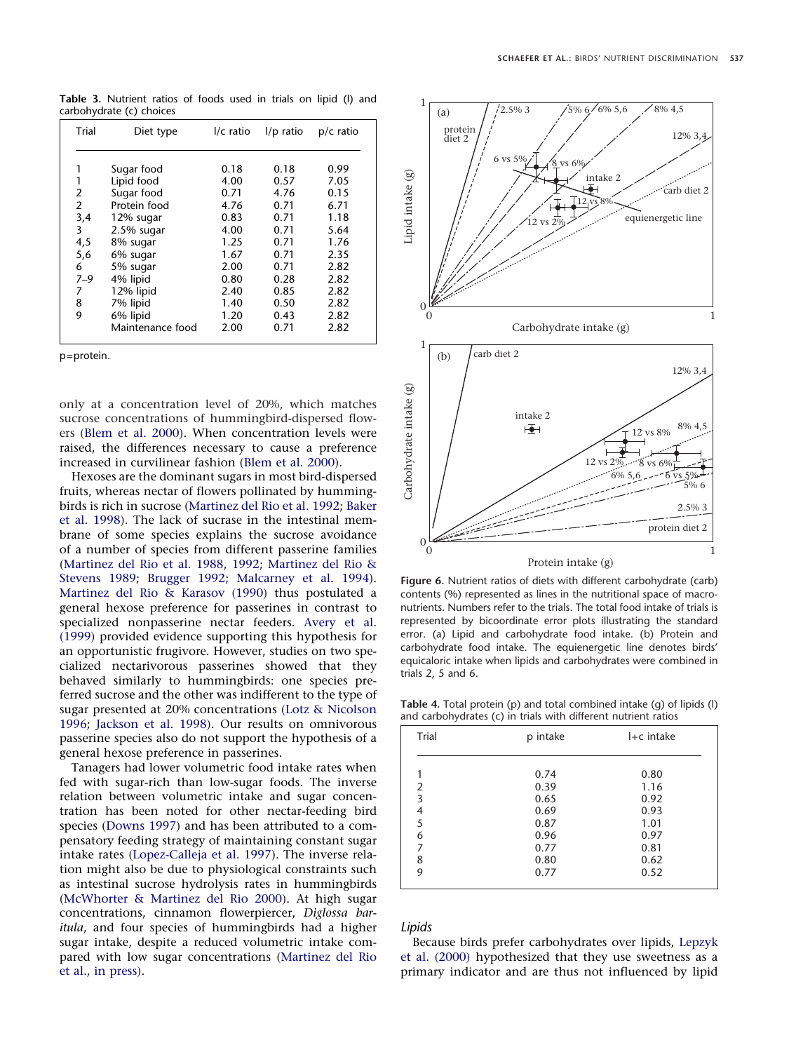<span id="page-6-0"></span>**Table 3.** Nutrient ratios of foods used in trials on lipid (l) and carbohydrate (c) choices

| Trial          | Diet type        | $I/c$ ratio | $I/p$ ratio | $p/c$ ratio |
|----------------|------------------|-------------|-------------|-------------|
| 1              | Sugar food       | 0.18        | 0.18        | 0.99        |
| 1              | Lipid food       | 4.00        | 0.57        | 7.05        |
| $\overline{2}$ | Sugar food       | 0.71        | 4.76        | 0.15        |
| 2              | Protein food     | 4.76        | 0.71        | 6.71        |
| 3,4            | 12% sugar        | 0.83        | 0.71        | 1.18        |
| 3              | $2.5%$ sugar     | 4.00        | 0.71        | 5.64        |
| 4,5            | 8% sugar         | 1.25        | 0.71        | 1.76        |
| 5,6            | 6% sugar         | 1.67        | 0.71        | 2.35        |
| 6              | 5% sugar         | 2.00        | 0.71        | 2.82        |
| $7 - 9$        | 4% lipid         | 0.80        | 0.28        | 2.82        |
| 7              | 12% lipid        | 2.40        | 0.85        | 2.82        |
| 8              | 7% lipid         | 1.40        | 0.50        | 2.82        |
| 9              | 6% lipid         | 1.20        | 0.43        | 2.82        |
|                | Maintenance food | 2.00        | 0.71        | 2.82        |

p=protein.

only at a concentration level of 20%, which matches sucrose concentrations of hummingbird-dispersed flowers [\(Blem et al. 2000\)](#page-9-10). When concentration levels were raised, the differences necessary to cause a preference increased in curvilinear fashion [\(Blem et al. 2000\)](#page-9-10).

Hexoses are the dominant sugars in most bird-dispersed fruits, whereas nectar of flowers pollinated by hummingbirds is rich in sucrose [\(Martinez del Rio et al. 1992;](#page-9-26) [Baker](#page-9-13) [et al. 1998\)](#page-9-13). The lack of sucrase in the intestinal membrane of some species explains the sucrose avoidance of a number of species from different passerine families [\(Martinez del Rio et al. 1988,](#page-9-27) [1992;](#page-9-26) [Martinez del Rio &](#page-9-28) [Stevens 1989;](#page-9-28) [Brugger 1992;](#page-9-29) [Malcarney et al. 1994\)](#page-9-30). [Martinez del Rio & Karasov \(1990\)](#page-9-11) thus postulated a general hexose preference for passerines in contrast to specialized nonpasserine nectar feeders. [Avery et al.](#page-9-31) [\(1999\)](#page-9-31) provided evidence supporting this hypothesis for an opportunistic frugivore. However, studies on two specialized nectarivorous passerines showed that they behaved similarly to hummingbirds: one species preferred sucrose and the other was indifferent to the type of sugar presented at 20% concentrations [\(Lotz & Nicolson](#page-9-9) [1996;](#page-9-9) [Jackson et al. 1998\)](#page-9-24). Our results on omnivorous passerine species also do not support the hypothesis of a general hexose preference in passerines.

Tanagers had lower volumetric food intake rates when fed with sugar-rich than low-sugar foods. The inverse relation between volumetric intake and sugar concentration has been noted for other nectar-feeding bird species [\(Downs 1997\)](#page-9-32) and has been attributed to a compensatory feeding strategy of maintaining constant sugar intake rates [\(Lopez-Calleja et al. 1997\)](#page-9-33). The inverse relation might also be due to physiological constraints such as intestinal sucrose hydrolysis rates in hummingbirds [\(McWhorter & Martinez del Rio 2000\)](#page-9-34). At high sugar concentrations, cinnamon flowerpiercer, *Diglossa baritula*, and four species of hummingbirds had a higher sugar intake, despite a reduced volumetric intake compared with low sugar concentrations [\(Martinez del Rio](#page-9-35) [et al., in press\)](#page-9-35).

<span id="page-6-1"></span>

**Figure 6.** Nutrient ratios of diets with different carbohydrate (carb) contents (%) represented as lines in the nutritional space of macronutrients. Numbers refer to the trials. The total food intake of trials is represented by bicoordinate error plots illustrating the standard error. (a) Lipid and carbohydrate food intake. (b) Protein and carbohydrate food intake. The equienergetic line denotes birds' equicaloric intake when lipids and carbohydrates were combined in trials 2, 5 and 6.

<span id="page-6-2"></span>**Table 4.** Total protein (p) and total combined intake (g) of lipids (l) and carbohydrates (c) in trials with different nutrient ratios

| ╯<br>$\sim$ |                      |                      |
|-------------|----------------------|----------------------|
| Trial       | p intake             | $I + c$ intake       |
|             | 0.74                 | 0.80                 |
| 2<br>3      | 0.39<br>0.65<br>0.69 | 1.16<br>0.92<br>0.93 |
| 4<br>5<br>6 | 0.87<br>0.96         | 1.01<br>0.97         |
| 7<br>8      | 0.77<br>0.80         | 0.81<br>0.62         |
| 9           | 0.77                 | 0.52                 |
|             |                      |                      |

## *Lipids*

Because birds prefer carbohydrates over lipids, [Lepzyk](#page-9-5) [et al. \(2000\)](#page-9-5) hypothesized that they use sweetness as a primary indicator and are thus not influenced by lipid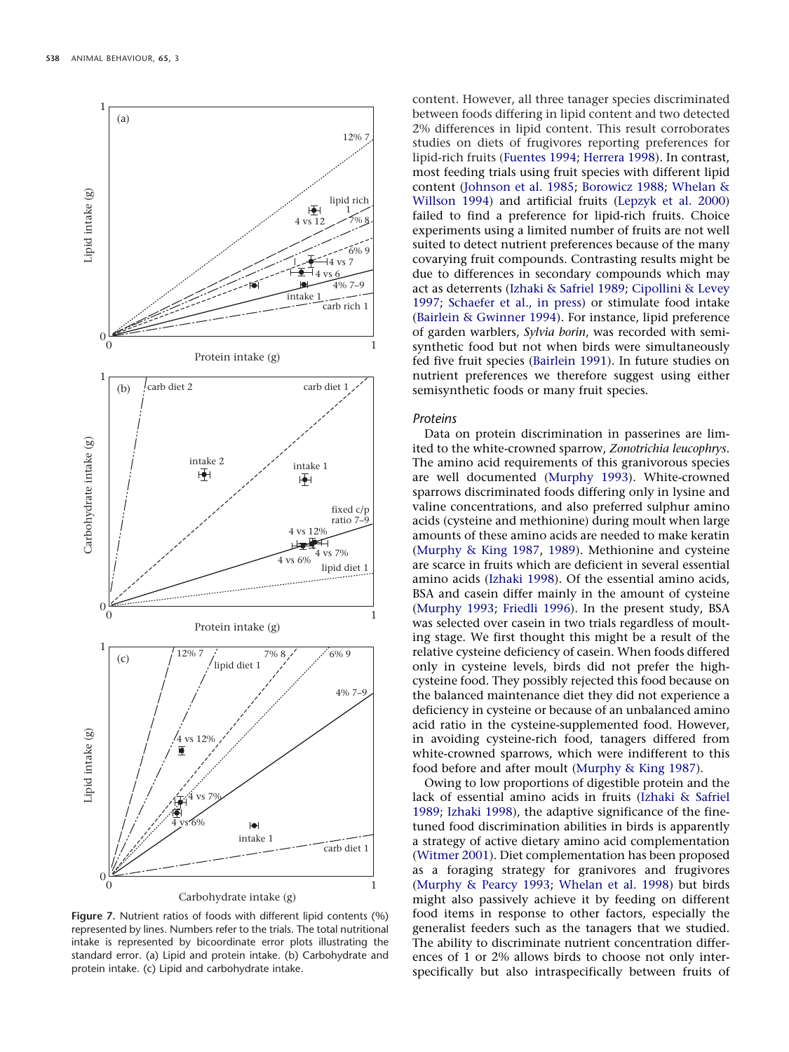<span id="page-7-0"></span>

**Figure 7.** Nutrient ratios of foods with different lipid contents (%) represented by lines. Numbers refer to the trials. The total nutritional intake is represented by bicoordinate error plots illustrating the standard error. (a) Lipid and protein intake. (b) Carbohydrate and protein intake. (c) Lipid and carbohydrate intake.

content. However, all three tanager species discriminated between foods differing in lipid content and two detected 2% differences in lipid content. This result corroborates studies on diets of frugivores reporting preferences for lipid-rich fruits [\(Fuentes 1994;](#page-9-0) [Herrera 1998\)](#page-9-1). In contrast, most feeding trials using fruit species with different lipid content [\(Johnson et al. 1985;](#page-9-2) [Borowicz 1988;](#page-9-3) [Whelan &](#page-10-0) [Willson 1994\)](#page-10-0) and artificial fruits [\(Lepzyk et al. 2000\)](#page-9-5) failed to find a preference for lipid-rich fruits. Choice experiments using a limited number of fruits are not well suited to detect nutrient preferences because of the many covarying fruit compounds. Contrasting results might be due to differences in secondary compounds which may act as deterrents [\(Izhaki & Safriel 1989;](#page-9-15) [Cipollini & Levey](#page-9-36) [1997;](#page-9-36) [Schaefer et al., in press\)](#page-10-12) or stimulate food intake [\(Bairlein & Gwinner 1994\)](#page-9-37). For instance, lipid preference of garden warblers, *Sylvia borin*, was recorded with semisynthetic food but not when birds were simultaneously fed five fruit species [\(Bairlein 1991\)](#page-9-38). In future studies on nutrient preferences we therefore suggest using either semisynthetic foods or many fruit species.

#### *Proteins*

Data on protein discrimination in passerines are limited to the white-crowned sparrow, *Zonotrichia leucophrys*. The amino acid requirements of this granivorous species are well documented [\(Murphy 1993\)](#page-9-21). White-crowned sparrows discriminated foods differing only in lysine and valine concentrations, and also preferred sulphur amino acids (cysteine and methionine) during moult when large amounts of these amino acids are needed to make keratin [\(Murphy & King 1987,](#page-10-8) [1989\)](#page-10-9). Methionine and cysteine are scarce in fruits which are deficient in several essential amino acids [\(Izhaki 1998\)](#page-9-16). Of the essential amino acids, BSA and casein differ mainly in the amount of cysteine [\(Murphy 1993;](#page-9-21) [Friedli 1996\)](#page-9-20). In the present study, BSA was selected over casein in two trials regardless of moulting stage. We first thought this might be a result of the relative cysteine deficiency of casein. When foods differed only in cysteine levels, birds did not prefer the highcysteine food. They possibly rejected this food because on the balanced maintenance diet they did not experience a deficiency in cysteine or because of an unbalanced amino acid ratio in the cysteine-supplemented food. However, in avoiding cysteine-rich food, tanagers differed from white-crowned sparrows, which were indifferent to this food before and after moult [\(Murphy & King 1987\)](#page-10-8).

Owing to low proportions of digestible protein and the lack of essential amino acids in fruits [\(Izhaki & Safriel](#page-9-15) [1989;](#page-9-15) [Izhaki 1998\)](#page-9-16), the adaptive significance of the finetuned food discrimination abilities in birds is apparently a strategy of active dietary amino acid complementation [\(Witmer 2001\)](#page-10-10). Diet complementation has been proposed as a foraging strategy for granivores and frugivores [\(Murphy & Pearcy 1993;](#page-10-13) [Whelan et al. 1998\)](#page-10-14) but birds might also passively achieve it by feeding on different food items in response to other factors, especially the generalist feeders such as the tanagers that we studied. The ability to discriminate nutrient concentration differences of 1 or 2% allows birds to choose not only interspecifically but also intraspecifically between fruits of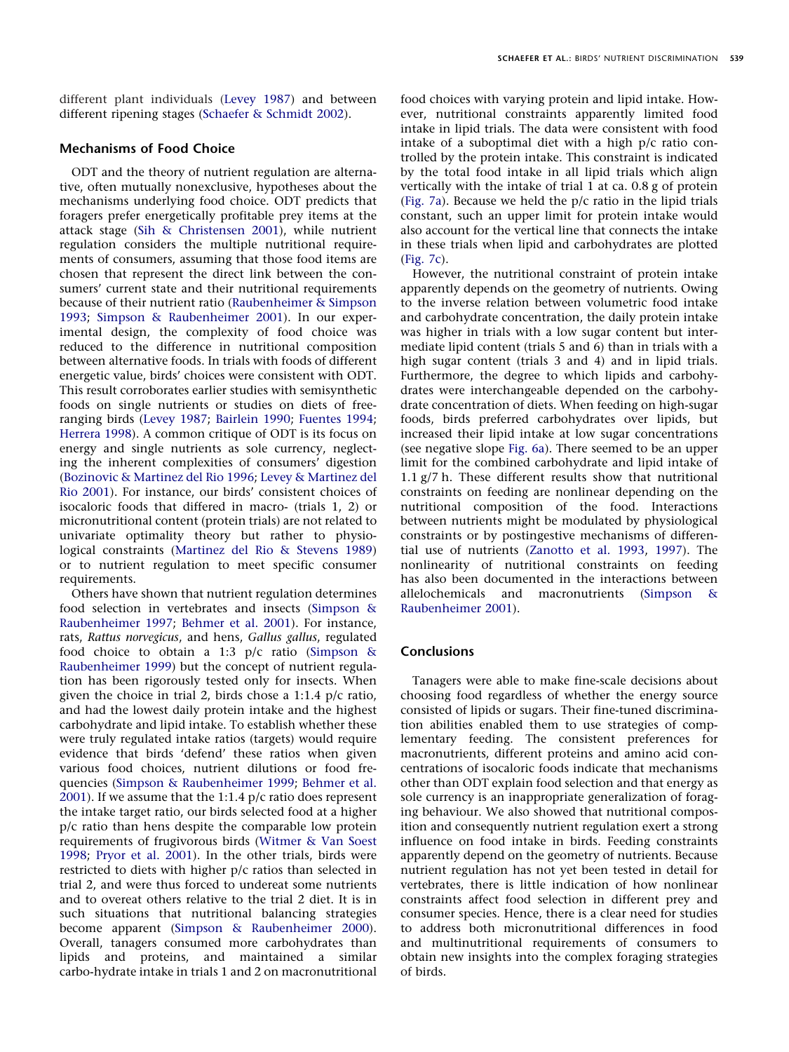different plant individuals [\(Levey 1987\)](#page-9-25) and between different ripening stages [\(Schaefer & Schmidt 2002\)](#page-10-15).

# **Mechanisms of Food Choice**

ODT and the theory of nutrient regulation are alternative, often mutually nonexclusive, hypotheses about the mechanisms underlying food choice. ODT predicts that foragers prefer energetically profitable prey items at the attack stage [\(Sih & Christensen 2001\)](#page-10-2), while nutrient regulation considers the multiple nutritional requirements of consumers, assuming that those food items are chosen that represent the direct link between the consumers' current state and their nutritional requirements because of their nutrient ratio [\(Raubenheimer & Simpson](#page-10-5) [1993;](#page-10-5) [Simpson & Raubenheimer 2001\)](#page-10-4). In our experimental design, the complexity of food choice was reduced to the difference in nutritional composition between alternative foods. In trials with foods of different energetic value, birds' choices were consistent with ODT. This result corroborates earlier studies with semisynthetic foods on single nutrients or studies on diets of freeranging birds [\(Levey 1987;](#page-9-25) [Bairlein 1990;](#page-9-39) [Fuentes 1994;](#page-9-0) [Herrera 1998\)](#page-9-1). A common critique of ODT is its focus on energy and single nutrients as sole currency, neglecting the inherent complexities of consumers' digestion [\(Bozinovic & Martinez del Rio 1996;](#page-9-6) [Levey & Martinez del](#page-9-7) [Rio 2001\)](#page-9-7). For instance, our birds' consistent choices of isocaloric foods that differed in macro- (trials 1, 2) or micronutritional content (protein trials) are not related to univariate optimality theory but rather to physiological constraints [\(Martinez del Rio & Stevens 1989\)](#page-9-28) or to nutrient regulation to meet specific consumer requirements.

Others have shown that nutrient regulation determines food selection in vertebrates and insects [\(Simpson &](#page-10-7) [Raubenheimer 1997;](#page-10-7) [Behmer et al. 2001\)](#page-9-8). For instance, rats, *Rattus norvegicus*, and hens, *Gallus gallus*, regulated food choice to obtain a 1:3 p/c ratio [\(Simpson &](#page-10-3) [Raubenheimer 1999\)](#page-10-3) but the concept of nutrient regulation has been rigorously tested only for insects. When given the choice in trial 2, birds chose a 1:1.4 p/c ratio, and had the lowest daily protein intake and the highest carbohydrate and lipid intake. To establish whether these were truly regulated intake ratios (targets) would require evidence that birds 'defend' these ratios when given various food choices, nutrient dilutions or food frequencies [\(Simpson & Raubenheimer 1999;](#page-10-3) [Behmer et al.](#page-9-8) [2001\)](#page-9-8). If we assume that the 1:1.4 p/c ratio does represent the intake target ratio, our birds selected food at a higher p/c ratio than hens despite the comparable low protein requirements of frugivorous birds [\(Witmer & Van Soest](#page-10-16) [1998;](#page-10-16) [Pryor et al. 2001\)](#page-10-17). In the other trials, birds were restricted to diets with higher p/c ratios than selected in trial 2, and were thus forced to undereat some nutrients and to overeat others relative to the trial 2 diet. It is in such situations that nutritional balancing strategies become apparent [\(Simpson & Raubenheimer 2000\)](#page-10-18). Overall, tanagers consumed more carbohydrates than lipids and proteins, and maintained a similar carbo-hydrate intake in trials 1 and 2 on macronutritional food choices with varying protein and lipid intake. However, nutritional constraints apparently limited food intake in lipid trials. The data were consistent with food intake of a suboptimal diet with a high p/c ratio controlled by the protein intake. This constraint is indicated by the total food intake in all lipid trials which align vertically with the intake of trial 1 at ca. 0.8 g of protein [\(Fig. 7a\)](#page-7-0). Because we held the p/c ratio in the lipid trials constant, such an upper limit for protein intake would also account for the vertical line that connects the intake in these trials when lipid and carbohydrates are plotted [\(Fig. 7c\)](#page-7-0).

However, the nutritional constraint of protein intake apparently depends on the geometry of nutrients. Owing to the inverse relation between volumetric food intake and carbohydrate concentration, the daily protein intake was higher in trials with a low sugar content but intermediate lipid content (trials 5 and 6) than in trials with a high sugar content (trials 3 and 4) and in lipid trials. Furthermore, the degree to which lipids and carbohydrates were interchangeable depended on the carbohydrate concentration of diets. When feeding on high-sugar foods, birds preferred carbohydrates over lipids, but increased their lipid intake at low sugar concentrations (see negative slope [Fig. 6a\)](#page-6-1). There seemed to be an upper limit for the combined carbohydrate and lipid intake of 1.1 g/7 h. These different results show that nutritional constraints on feeding are nonlinear depending on the nutritional composition of the food. Interactions between nutrients might be modulated by physiological constraints or by postingestive mechanisms of differential use of nutrients [\(Zanotto et al. 1993,](#page-10-19) [1997\)](#page-10-20). The nonlinearity of nutritional constraints on feeding has also been documented in the interactions between allelochemicals and macronutrients [\(Simpson &](#page-10-4) [Raubenheimer 2001\)](#page-10-4).

## **Conclusions**

Tanagers were able to make fine-scale decisions about choosing food regardless of whether the energy source consisted of lipids or sugars. Their fine-tuned discrimination abilities enabled them to use strategies of complementary feeding. The consistent preferences for macronutrients, different proteins and amino acid concentrations of isocaloric foods indicate that mechanisms other than ODT explain food selection and that energy as sole currency is an inappropriate generalization of foraging behaviour. We also showed that nutritional composition and consequently nutrient regulation exert a strong influence on food intake in birds. Feeding constraints apparently depend on the geometry of nutrients. Because nutrient regulation has not yet been tested in detail for vertebrates, there is little indication of how nonlinear constraints affect food selection in different prey and consumer species. Hence, there is a clear need for studies to address both micronutritional differences in food and multinutritional requirements of consumers to obtain new insights into the complex foraging strategies of birds.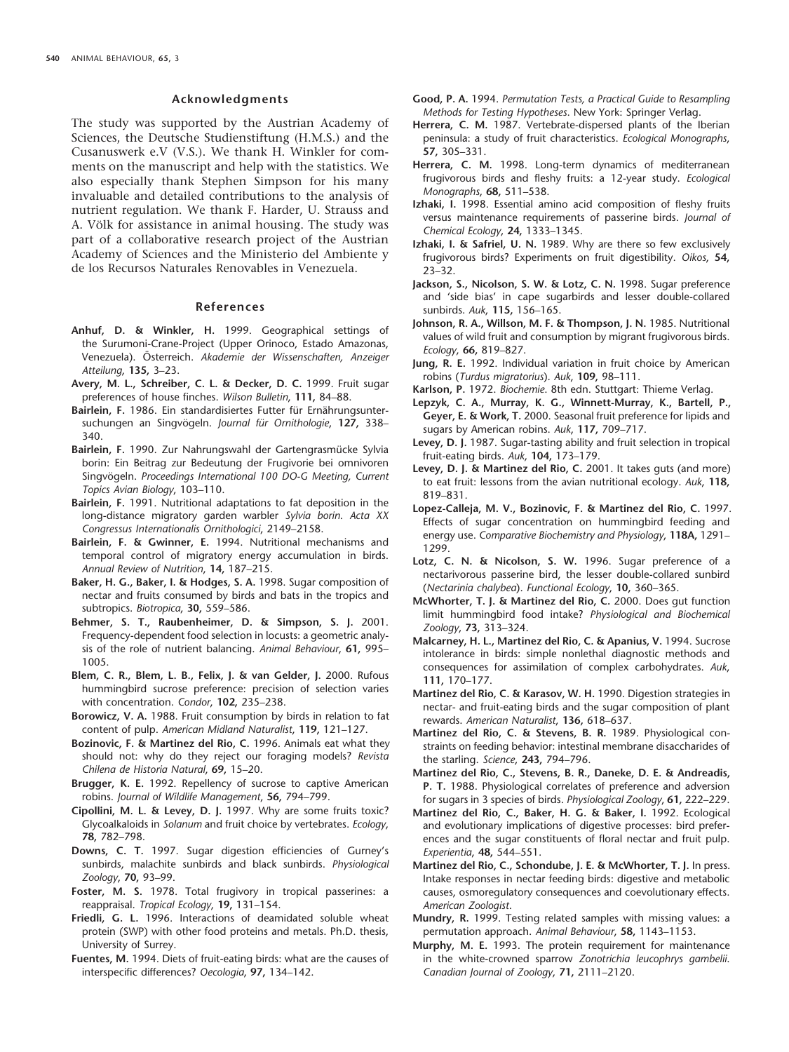## **Acknowledgments**

The study was supported by the Austrian Academy of Sciences, the Deutsche Studienstiftung (H.M.S.) and the Cusanuswerk e.V (V.S.). We thank H. Winkler for comments on the manuscript and help with the statistics. We also especially thank Stephen Simpson for his many invaluable and detailed contributions to the analysis of nutrient regulation. We thank F. Harder, U. Strauss and A. Völk for assistance in animal housing. The study was part of a collaborative research project of the Austrian Academy of Sciences and the Ministerio del Ambiente y de los Recursos Naturales Renovables in Venezuela.

## **References**

- <span id="page-9-18"></span>**Anhuf, D. & Winkler, H.** 1999. Geographical settings of the Surumoni-Crane-Project (Upper Orinoco, Estado Amazonas, Venezuela). O} sterreich. *Akademie der Wissenschaften, Anzeiger Atteilung*, **135,** 3–23.
- <span id="page-9-31"></span>**Avery, M. L., Schreiber, C. L. & Decker, D. C.** 1999. Fruit sugar preferences of house finches. *Wilson Bulletin*, **111,** 84–88.
- <span id="page-9-17"></span>Bairlein, F. 1986. Ein standardisiertes Futter für Ernährungsuntersuchungen an Singvögeln. *Journal für Ornithologie*, 127, 338-340.
- <span id="page-9-39"></span>Bairlein, F. 1990. Zur Nahrungswahl der Gartengrasmücke Sylvia borin: Ein Beitrag zur Bedeutung der Frugivorie bei omnivoren Singvögeln. Proceedings International 100 DO-G Meeting, Current *Topics Avian Biology*, 103–110.
- <span id="page-9-38"></span>**Bairlein, F.** 1991. Nutritional adaptations to fat deposition in the long-distance migratory garden warbler *Sylvia borin*. *Acta XX Congressus Internationalis Ornithologici*, 2149–2158.
- <span id="page-9-37"></span>**Bairlein, F. & Gwinner, E.** 1994. Nutritional mechanisms and temporal control of migratory energy accumulation in birds. *Annual Review of Nutrition*, **14,** 187–215.
- <span id="page-9-13"></span>**Baker, H. G., Baker, I. & Hodges, S. A.** 1998. Sugar composition of nectar and fruits consumed by birds and bats in the tropics and subtropics. *Biotropica*, **30,** 559–586.
- <span id="page-9-8"></span>**Behmer, S. T., Raubenheimer, D. & Simpson, S. J.** 2001. Frequency-dependent food selection in locusts: a geometric analysis of the role of nutrient balancing. *Animal Behaviour*, **61,** 995– 1005.
- <span id="page-9-10"></span>**Blem, C. R., Blem, L. B., Felix, J. & van Gelder, J.** 2000. Rufous hummingbird sucrose preference: precision of selection varies with concentration. *Condor*, **102,** 235–238.
- <span id="page-9-3"></span>**Borowicz, V. A.** 1988. Fruit consumption by birds in relation to fat content of pulp. *American Midland Naturalist*, **119,** 121–127.
- <span id="page-9-6"></span>**Bozinovic, F. & Martinez del Rio, C.** 1996. Animals eat what they should not: why do they reject our foraging models? *Revista Chilena de Historia Natural*, **69,** 15–20.
- <span id="page-9-29"></span>**Brugger, K. E.** 1992. Repellency of sucrose to captive American robins. *Journal of Wildlife Management*, **56,** 794–799.
- <span id="page-9-36"></span>**Cipollini, M. L. & Levey, D. J.** 1997. Why are some fruits toxic? Glycoalkaloids in *Solanum* and fruit choice by vertebrates. *Ecology*, **78,** 782–798.
- <span id="page-9-32"></span>**Downs, C. T.** 1997. Sugar digestion efficiencies of Gurney's sunbirds, malachite sunbirds and black sunbirds. *Physiological Zoology*, **70,** 93–99.
- <span id="page-9-14"></span>**Foster, M. S.** 1978. Total frugivory in tropical passerines: a reappraisal. *Tropical Ecology*, **19,** 131–154.
- <span id="page-9-20"></span>**Friedli, G. L.** 1996. Interactions of deamidated soluble wheat protein (SWP) with other food proteins and metals. Ph.D. thesis, University of Surrey.
- <span id="page-9-0"></span>**Fuentes, M.** 1994. Diets of fruit-eating birds: what are the causes of interspecific differences? *Oecologia*, **97,** 134–142.
- <span id="page-9-22"></span>**Good, P. A.** 1994. *Permutation Tests, a Practical Guide to Resampling Methods for Testing Hypotheses*. New York: Springer Verlag.
- <span id="page-9-12"></span>**Herrera, C. M.** 1987. Vertebrate-dispersed plants of the Iberian peninsula: a study of fruit characteristics. *Ecological Monographs*, **57,** 305–331.
- <span id="page-9-1"></span>**Herrera, C. M.** 1998. Long-term dynamics of mediterranean frugivorous birds and fleshy fruits: a 12-year study. *Ecological Monographs*, **68,** 511–538.
- <span id="page-9-16"></span>**Izhaki, I.** 1998. Essential amino acid composition of fleshy fruits versus maintenance requirements of passerine birds. *Journal of Chemical Ecology*, **24,** 1333–1345.
- <span id="page-9-15"></span>**Izhaki, I. & Safriel, U. N.** 1989. Why are there so few exclusively frugivorous birds? Experiments on fruit digestibility. *Oikos*, **54,** 23–32.
- <span id="page-9-24"></span>**Jackson, S., Nicolson, S. W. & Lotz, C. N.** 1998. Sugar preference and 'side bias' in cape sugarbirds and lesser double-collared sunbirds. *Auk*, **115,** 156–165.
- <span id="page-9-2"></span>**Johnson, R. A., Willson, M. F. & Thompson, J. N.** 1985. Nutritional values of wild fruit and consumption by migrant frugivorous birds. *Ecology*, **66,** 819–827.
- <span id="page-9-4"></span>**Jung, R. E.** 1992. Individual variation in fruit choice by American robins (*Turdus migratorius*). *Auk*, **109,** 98–111.
- <span id="page-9-19"></span>**Karlson, P.** 1972. *Biochemie*. 8th edn. Stuttgart: Thieme Verlag.
- <span id="page-9-5"></span>**Lepzyk, C. A., Murray, K. G., Winnett-Murray, K., Bartell, P., Geyer, E. & Work, T.** 2000. Seasonal fruit preference for lipids and sugars by American robins. *Auk*, **117,** 709–717.
- <span id="page-9-25"></span>**Levey, D. J.** 1987. Sugar-tasting ability and fruit selection in tropical fruit-eating birds. *Auk*, **104,** 173–179.
- <span id="page-9-7"></span>**Levey, D. J. & Martinez del Rio, C.** 2001. It takes guts (and more) to eat fruit: lessons from the avian nutritional ecology. *Auk*, **118,** 819–831.
- <span id="page-9-33"></span>**Lopez-Calleja, M. V., Bozinovic, F. & Martinez del Rio, C.** 1997. Effects of sugar concentration on hummingbird feeding and energy use. *Comparative Biochemistry and Physiology*, **118A,** 1291– 1299.
- <span id="page-9-9"></span>**Lotz, C. N. & Nicolson, S. W.** 1996. Sugar preference of a nectarivorous passerine bird, the lesser double-collared sunbird (*Nectarinia chalybea*). *Functional Ecology*, **10,** 360–365.
- <span id="page-9-34"></span>**McWhorter, T. J. & Martinez del Rio, C.** 2000. Does gut function limit hummingbird food intake? *Physiological and Biochemical Zoology*, **73,** 313–324.
- <span id="page-9-30"></span>**Malcarney, H. L., Martinez del Rio, C. & Apanius, V.** 1994. Sucrose intolerance in birds: simple nonlethal diagnostic methods and consequences for assimilation of complex carbohydrates. *Auk*, **111,** 170–177.
- <span id="page-9-11"></span>**Martinez del Rio, C. & Karasov, W. H.** 1990. Digestion strategies in nectar- and fruit-eating birds and the sugar composition of plant rewards. *American Naturalist*, **136,** 618–637.
- <span id="page-9-28"></span>**Martinez del Rio, C. & Stevens, B. R.** 1989. Physiological constraints on feeding behavior: intestinal membrane disaccharides of the starling. *Science*, **243,** 794–796.
- <span id="page-9-27"></span>**Martinez del Rio, C., Stevens, B. R., Daneke, D. E. & Andreadis, P. T.** 1988. Physiological correlates of preference and adversion for sugars in 3 species of birds. *Physiological Zoology*, **61,** 222–229.
- <span id="page-9-26"></span>**Martinez del Rio, C., Baker, H. G. & Baker, I.** 1992. Ecological and evolutionary implications of digestive processes: bird preferences and the sugar constituents of floral nectar and fruit pulp. *Experientia*, **48,** 544–551.
- <span id="page-9-35"></span>**Martinez del Rio, C., Schondube, J. E. & McWhorter, T. J.** In press. Intake responses in nectar feeding birds: digestive and metabolic causes, osmoregulatory consequences and coevolutionary effects. *American Zoologist*.
- <span id="page-9-23"></span>**Mundry, R.** 1999. Testing related samples with missing values: a permutation approach. *Animal Behaviour*, **58,** 1143–1153.
- <span id="page-9-21"></span>**Murphy, M. E.** 1993. The protein requirement for maintenance in the white-crowned sparrow *Zonotrichia leucophrys gambelii*. *Canadian Journal of Zoology*, **71,** 2111–2120.